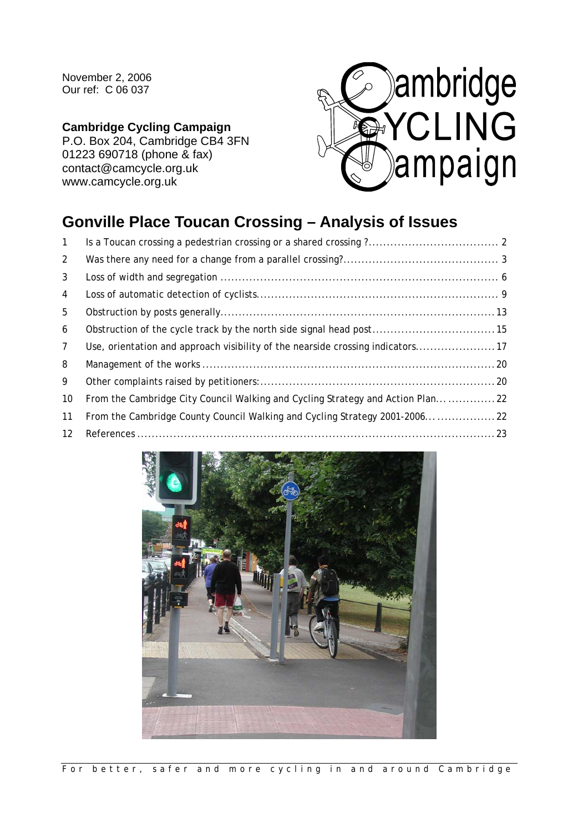November 2, 2006 Our ref: C 06 037

## **Cambridge Cycling Campaign**

P.O. Box 204, Cambridge CB4 3FN 01223 690718 (phone & fax) contact@camcycle.org.uk www.camcycle.org.uk



# **Gonville Place Toucan Crossing – Analysis of Issues**

| $\mathbf{1}$   |                                                                                 |  |
|----------------|---------------------------------------------------------------------------------|--|
| 2              |                                                                                 |  |
| 3              |                                                                                 |  |
| 4              |                                                                                 |  |
| 5              |                                                                                 |  |
| 6              |                                                                                 |  |
| $\overline{7}$ | Use, orientation and approach visibility of the nearside crossing indicators 17 |  |
| 8              |                                                                                 |  |
| 9              |                                                                                 |  |
| 10             | From the Cambridge City Council Walking and Cycling Strategy and Action Plan22  |  |
| 11             | From the Cambridge County Council Walking and Cycling Strategy 2001-200622      |  |
| 12             |                                                                                 |  |

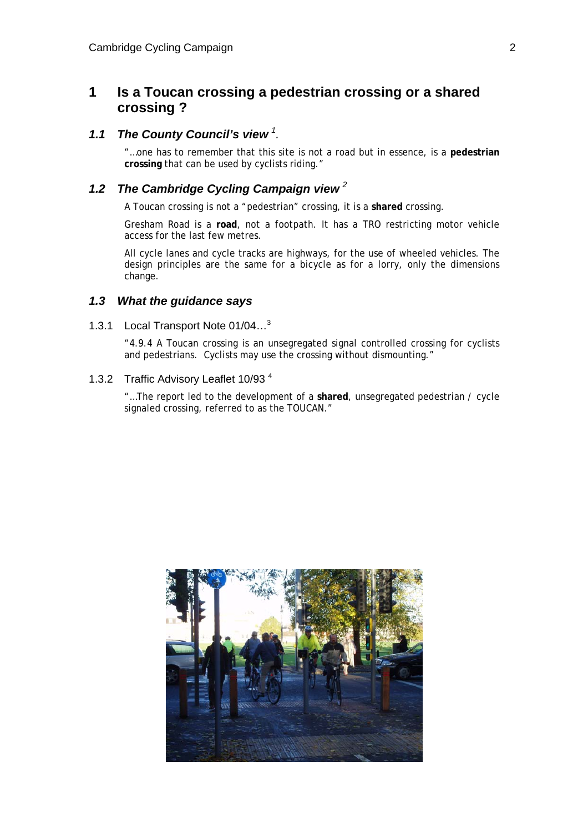## **1 Is a Toucan crossing a pedestrian crossing or a shared crossing ?**

## *1.1 The County Council's view <sup>1</sup> .*

"…one has to remember that this site is not a road but in essence, is a **pedestrian crossing** that can be used by cyclists riding."

## *1.2 The Cambridge Cycling Campaign view <sup>2</sup>*

A Toucan crossing is not a "pedestrian" crossing, it is a **shared** crossing.

Gresham Road is a **road**, not a footpath. It has a TRO restricting motor vehicle access for the last few metres.

All cycle lanes and cycle tracks are highways, for the use of wheeled vehicles. The design principles are the same for a bicycle as for a lorry, only the dimensions change.

### *1.3 What the guidance says*

1.3.1 Local Transport Note 01/04…3

"4.9.4 A Toucan crossing is an unsegregated signal controlled crossing for cyclists and pedestrians. Cyclists may use the crossing without dismounting."

## 1.3.2 Traffic Advisory Leaflet 10/93 4

"…The report led to the development of a **shared**, unsegregated pedestrian / cycle signaled crossing, referred to as the TOUCAN."

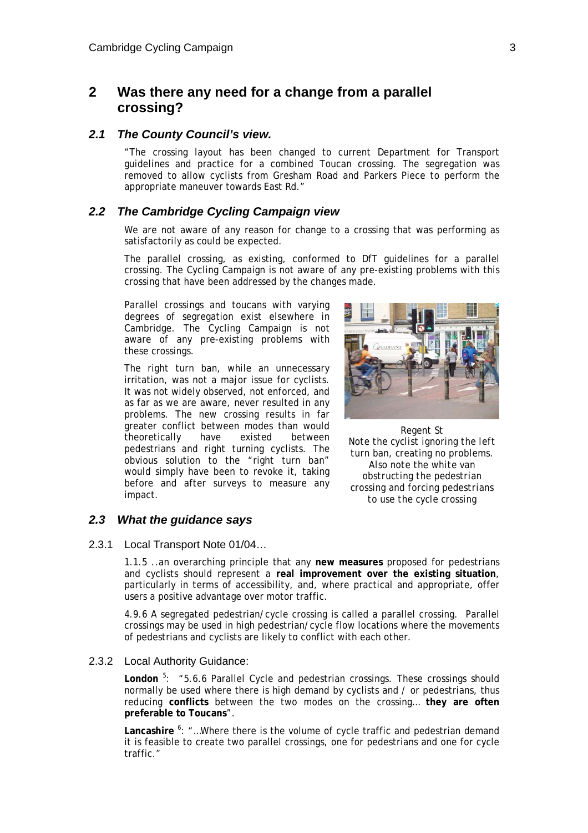## **2 Was there any need for a change from a parallel crossing?**

#### *2.1 The County Council's view.*

"The crossing layout has been changed to current Department for Transport guidelines and practice for a combined Toucan crossing. The segregation was removed to allow cyclists from Gresham Road and Parkers Piece to perform the appropriate maneuver towards East Rd."

### *2.2 The Cambridge Cycling Campaign view*

We are not aware of any reason for change to a crossing that was performing as satisfactorily as could be expected.

The parallel crossing, as existing, conformed to DfT guidelines for a parallel crossing. The Cycling Campaign is not aware of any pre-existing problems with this crossing that have been addressed by the changes made.

Parallel crossings and toucans with varying degrees of segregation exist elsewhere in Cambridge. The Cycling Campaign is not aware of any pre-existing problems with these crossings.

The right turn ban, while an unnecessary irritation, was not a major issue for cyclists. It was not widely observed, not enforced, and as far as we are aware, never resulted in any problems. The new crossing results in far greater conflict between modes than would theoretically have existed between pedestrians and right turning cyclists. The obvious solution to the "right turn ban" would simply have been to revoke it, taking before and after surveys to measure any impact.



*Regent St Note the cyclist ignoring the left turn ban, creating no problems. Also note the white van obstructing the pedestrian crossing and forcing pedestrians to use the cycle crossing* 

#### *2.3 What the guidance says*

2.3.1 Local Transport Note 01/04…

1.1.5 ..an overarching principle that any **new measures** proposed for pedestrians and cyclists should represent a **real improvement over the existing situation**, particularly in terms of accessibility, and, where practical and appropriate, offer users a positive advantage over motor traffic.

4.9.6 A segregated pedestrian/cycle crossing is called a parallel crossing. Parallel crossings may be used in high pedestrian/cycle flow locations where the movements of pedestrians and cyclists are likely to conflict with each other.

#### 2.3.2 Local Authority Guidance:

London<sup>5</sup>: "5.6.6 Parallel Cycle and pedestrian crossings. These crossings should normally be used where there is high demand by cyclists and / or pedestrians, thus reducing **conflicts** between the two modes on the crossing… **they are often preferable to Toucans**".

Lancashire <sup>6</sup>: "...Where there is the volume of cycle traffic and pedestrian demand it is feasible to create two parallel crossings, one for pedestrians and one for cycle traffic."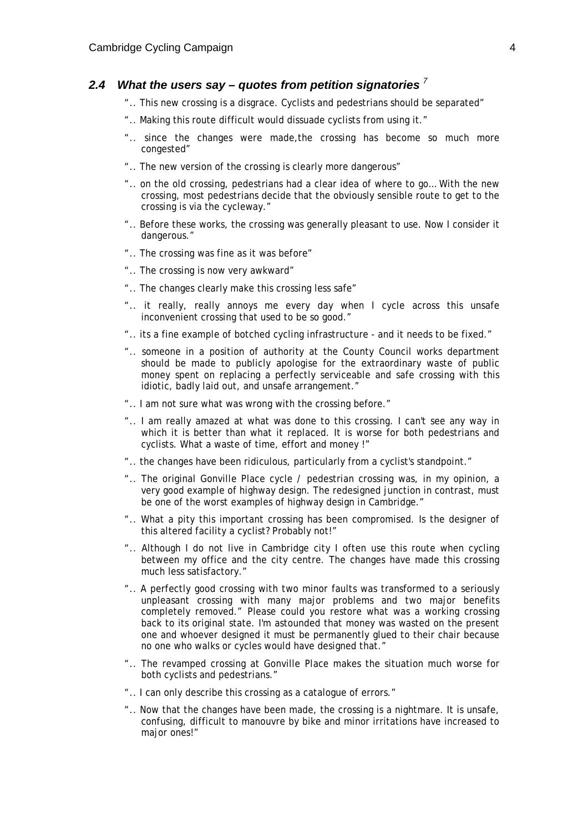#### *2.4 What the users say – quotes from petition signatories <sup>7</sup>*

- ".. This new crossing is a disgrace. Cyclists and pedestrians should be separated"
- ".. Making this route difficult would dissuade cyclists from using it."
- ".. since the changes were made,the crossing has become so much more congested"
- ".. The new version of the crossing is clearly more dangerous"
- ".. on the old crossing, pedestrians had a clear idea of where to go… With the new crossing, most pedestrians decide that the obviously sensible route to get to the crossing is via the cycleway."
- ".. Before these works, the crossing was generally pleasant to use. Now I consider it dangerous."
- ".. The crossing was fine as it was before"
- ".. The crossing is now very awkward"
- ".. The changes clearly make this crossing less safe"
- ".. it really, really annoys me every day when I cycle across this unsafe inconvenient crossing that used to be so good."
- ".. its a fine example of botched cycling infrastructure and it needs to be fixed."
- ".. someone in a position of authority at the County Council works department should be made to publicly apologise for the extraordinary waste of public money spent on replacing a perfectly serviceable and safe crossing with this idiotic, badly laid out, and unsafe arrangement."
- ".. I am not sure what was wrong with the crossing before."
- ".. I am really amazed at what was done to this crossing. I can't see any way in which it is better than what it replaced. It is worse for both pedestrians and cyclists. What a waste of time, effort and money !"
- ".. the changes have been ridiculous, particularly from a cyclist's standpoint."
- ".. The original Gonville Place cycle / pedestrian crossing was, in my opinion, a very good example of highway design. The redesigned junction in contrast, must be one of the worst examples of highway design in Cambridge."
- ".. What a pity this important crossing has been compromised. Is the designer of this altered facility a cyclist? Probably not!"
- ".. Although I do not live in Cambridge city I often use this route when cycling between my office and the city centre. The changes have made this crossing much less satisfactory."
- ".. A perfectly good crossing with two minor faults was transformed to a seriously unpleasant crossing with many major problems and two major benefits completely removed." Please could you restore what was a working crossing back to its original state. I'm astounded that money was wasted on the present one and whoever designed it must be permanently glued to their chair because no one who walks or cycles would have designed that."
- ".. The revamped crossing at Gonville Place makes the situation much worse for both cyclists and pedestrians."
- ".. I can only describe this crossing as a catalogue of errors."
- ".. Now that the changes have been made, the crossing is a nightmare. It is unsafe, confusing, difficult to manouvre by bike and minor irritations have increased to major ones!"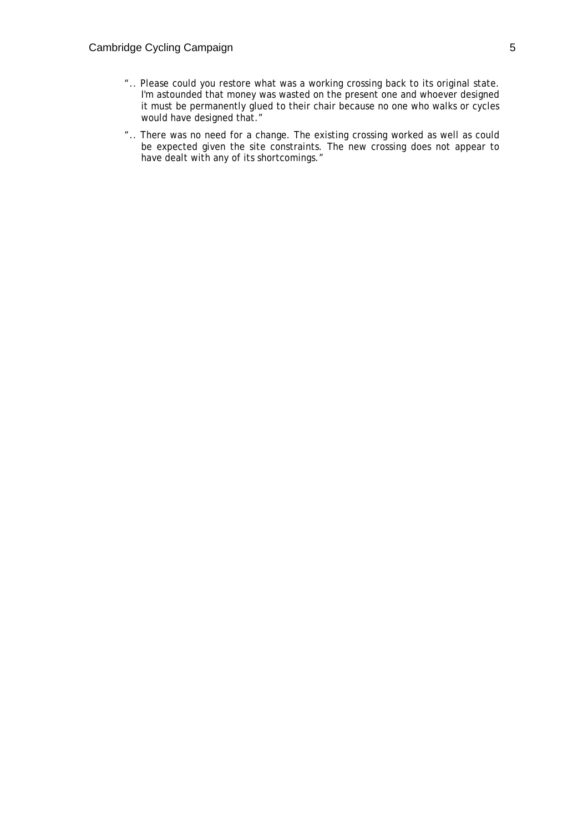- ".. Please could you restore what was a working crossing back to its original state. I'm astounded that money was wasted on the present one and whoever designed it must be permanently glued to their chair because no one who walks or cycles would have designed that."
- ".. There was no need for a change. The existing crossing worked as well as could be expected given the site constraints. The new crossing does not appear to have dealt with any of its shortcomings."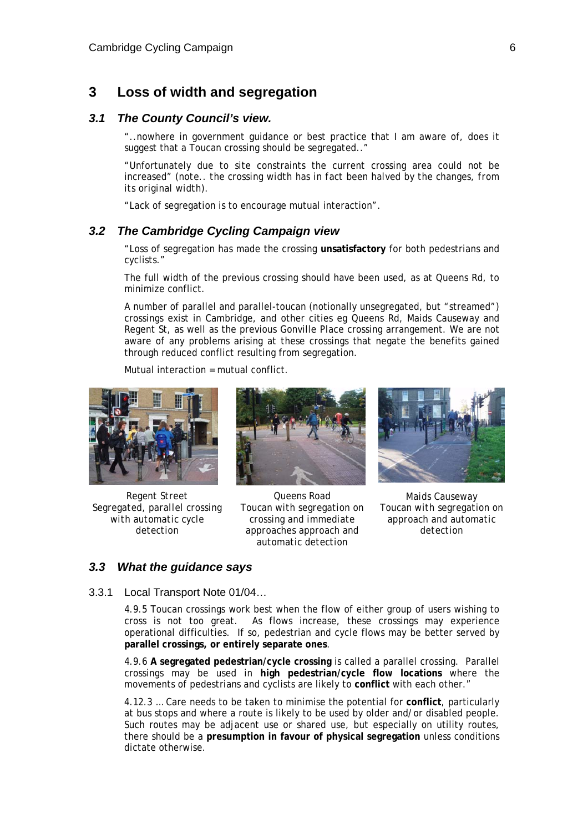## **3 Loss of width and segregation**

### *3.1 The County Council's view.*

"..nowhere in government guidance or best practice that I am aware of, does it suggest that a Toucan crossing should be segregated.."

"Unfortunately due to site constraints the current crossing area could not be increased" *(note.. the crossing width has in fact been halved by the changes, from its original width).* 

"Lack of segregation is to encourage mutual interaction".

#### *3.2 The Cambridge Cycling Campaign view*

"Loss of segregation has made the crossing **unsatisfactory** for both pedestrians and cyclists."

The full width of the previous crossing should have been used, as at Queens Rd, to minimize conflict.

A number of parallel and parallel-toucan (notionally unsegregated, but "streamed") crossings exist in Cambridge, and other cities eg Queens Rd, Maids Causeway and Regent St, as well as the previous Gonville Place crossing arrangement. We are not aware of any problems arising at these crossings that negate the benefits gained through reduced conflict resulting from segregation.

Mutual interaction = mutual conflict.



*Regent Street Segregated, parallel crossing with automatic cycle detection* 



*Queens Road Toucan with segregation on crossing and immediate approaches approach and automatic detection* 



*Maids Causeway Toucan with segregation on approach and automatic detection* 

#### *3.3 What the guidance says*

3.3.1 Local Transport Note 01/04…

4.9.5 Toucan crossings work best when the flow of either group of users wishing to cross is not too great. As flows increase, these crossings may experience operational difficulties. If so, pedestrian and cycle flows may be better served by **parallel crossings, or entirely separate ones**.

4.9.6 **A segregated pedestrian/cycle crossing** is called a parallel crossing. Parallel crossings may be used in **high pedestrian/cycle flow locations** where the movements of pedestrians and cyclists are likely to **conflict** with each other."

4.12.3 … Care needs to be taken to minimise the potential for **conflict**, particularly at bus stops and where a route is likely to be used by older and/or disabled people. Such routes may be adjacent use or shared use, but especially on utility routes, there should be a **presumption in favour of physical segregation** unless conditions dictate otherwise.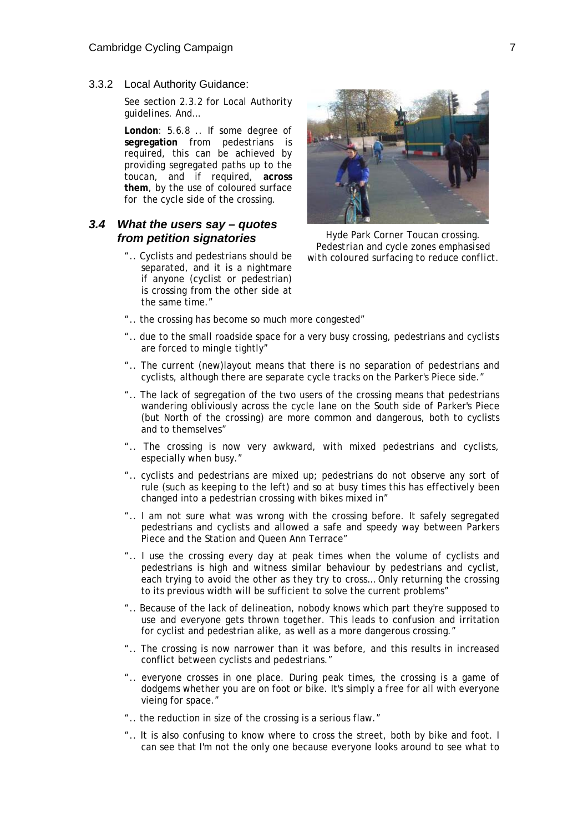3.3.2 Local Authority Guidance:

See section 2.3.2 for Local Authority guidelines. And…

**London**: 5.6.8 .. If some degree of **segregation** from pedestrians is required, this can be achieved by providing segregated paths up to the toucan, and if required, **across them**, by the use of coloured surface for the cycle side of the crossing.

## *3.4 What the users say – quotes from petition signatories*

".. Cyclists and pedestrians should be separated, and it is a nightmare if anyone (cyclist or pedestrian) is crossing from the other side at the same time."



*Hyde Park Corner Toucan crossing. Pedestrian and cycle zones emphasised with coloured surfacing to reduce conflict.* 

- ".. the crossing has become so much more congested"
- ".. due to the small roadside space for a very busy crossing, pedestrians and cyclists are forced to mingle tightly"
- ".. The current (new)layout means that there is no separation of pedestrians and cyclists, although there are separate cycle tracks on the Parker's Piece side."
- ".. The lack of segregation of the two users of the crossing means that pedestrians wandering obliviously across the cycle lane on the South side of Parker's Piece (but North of the crossing) are more common and dangerous, both to cyclists and to themselves"
- ".. The crossing is now very awkward, with mixed pedestrians and cyclists, especially when busy."
- ".. cyclists and pedestrians are mixed up; pedestrians do not observe any sort of rule (such as keeping to the left) and so at busy times this has effectively been changed into a pedestrian crossing with bikes mixed in"
- ".. I am not sure what was wrong with the crossing before. It safely segregated pedestrians and cyclists and allowed a safe and speedy way between Parkers Piece and the Station and Queen Ann Terrace"
- ".. I use the crossing every day at peak times when the volume of cyclists and pedestrians is high and witness similar behaviour by pedestrians and cyclist, each trying to avoid the other as they try to cross… Only returning the crossing to its previous width will be sufficient to solve the current problems"
- ".. Because of the lack of delineation, nobody knows which part they're supposed to use and everyone gets thrown together. This leads to confusion and irritation for cyclist and pedestrian alike, as well as a more dangerous crossing."
- ".. The crossing is now narrower than it was before, and this results in increased conflict between cyclists and pedestrians."
- ".. everyone crosses in one place. During peak times, the crossing is a game of dodgems whether you are on foot or bike. It's simply a free for all with everyone vieing for space."
- ".. the reduction in size of the crossing is a serious flaw."
- ".. It is also confusing to know where to cross the street, both by bike and foot. I can see that I'm not the only one because everyone looks around to see what to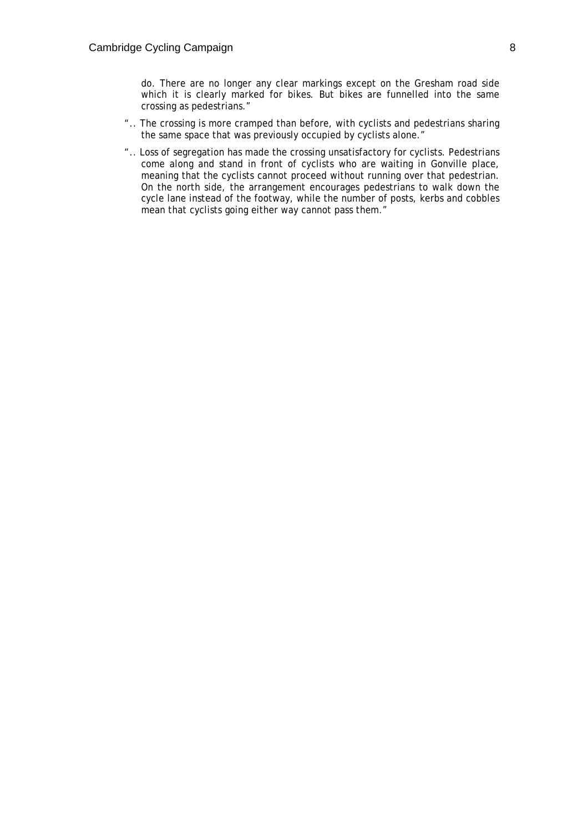do. There are no longer any clear markings except on the Gresham road side which it is clearly marked for bikes. But bikes are funnelled into the same crossing as pedestrians."

- ".. The crossing is more cramped than before, with cyclists and pedestrians sharing the same space that was previously occupied by cyclists alone."
- ".. Loss of segregation has made the crossing unsatisfactory for cyclists. Pedestrians come along and stand in front of cyclists who are waiting in Gonville place, meaning that the cyclists cannot proceed without running over that pedestrian. On the north side, the arrangement encourages pedestrians to walk down the cycle lane instead of the footway, while the number of posts, kerbs and cobbles mean that cyclists going either way cannot pass them."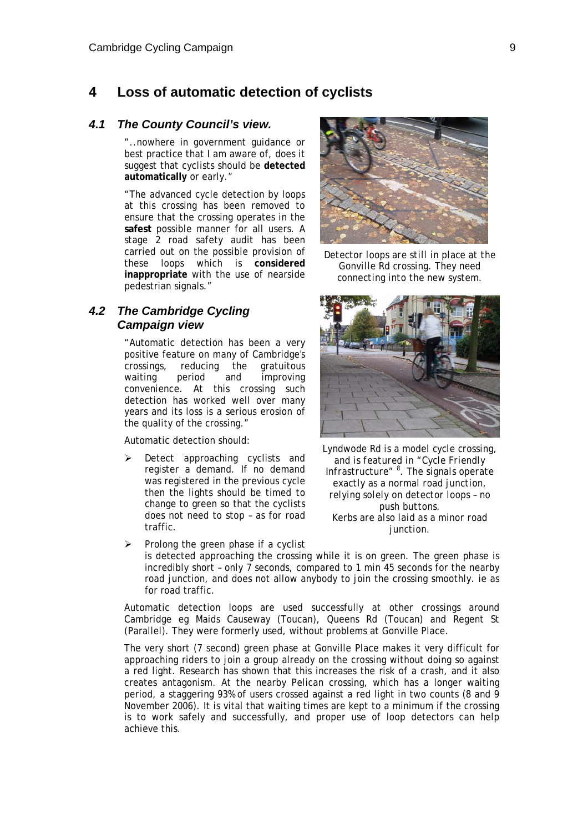## **4 Loss of automatic detection of cyclists**

#### *4.1 The County Council's view.*

"..nowhere in government guidance or best practice that I am aware of, does it suggest that cyclists should be **detected automatically** or early."

"The advanced cycle detection by loops at this crossing has been removed to ensure that the crossing operates in the **safest** possible manner for all users. A stage 2 road safety audit has been carried out on the possible provision of these loops which is **considered inappropriate** with the use of nearside pedestrian signals."

## *4.2 The Cambridge Cycling Campaign view*

"Automatic detection has been a very positive feature on many of Cambridge's crossings, reducing the gratuitous waiting period and improving convenience. At this crossing such detection has worked well over many years and its loss is a serious erosion of the quality of the crossing."

Automatic detection should:

Detect approaching cyclists and register a demand. If no demand was registered in the previous cycle then the lights should be timed to change to green so that the cyclists does not need to stop – as for road traffic.



*Detector loops are still in place at the Gonville Rd crossing. They need connecting into the new system.* 



*Lyndwode Rd is a model cycle crossing, and is featured in "Cycle Friendly Infrastructure" 8 . The signals operate exactly as a normal road junction, relying solely on detector loops – no push buttons. Kerbs are also laid as a minor road junction.* 

Prolong the green phase if a cyclist is detected approaching the crossing while it is on green. The green phase is incredibly short – only 7 seconds, compared to 1 min 45 seconds for the nearby road junction, and does not allow anybody to join the crossing smoothly. ie as for road traffic.

Automatic detection loops are used successfully at other crossings around Cambridge eg Maids Causeway (Toucan), Queens Rd (Toucan) and Regent St (Parallel). They were formerly used, without problems at Gonville Place.

The very short (7 second) green phase at Gonville Place makes it very difficult for approaching riders to join a group already on the crossing without doing so against a red light. Research has shown that this increases the risk of a crash, and it also creates antagonism. At the nearby Pelican crossing, which has a longer waiting period, a staggering 93% of users crossed against a red light in two counts (8 and 9 November 2006). It is vital that waiting times are kept to a minimum if the crossing is to work safely and successfully, and proper use of loop detectors can help achieve this.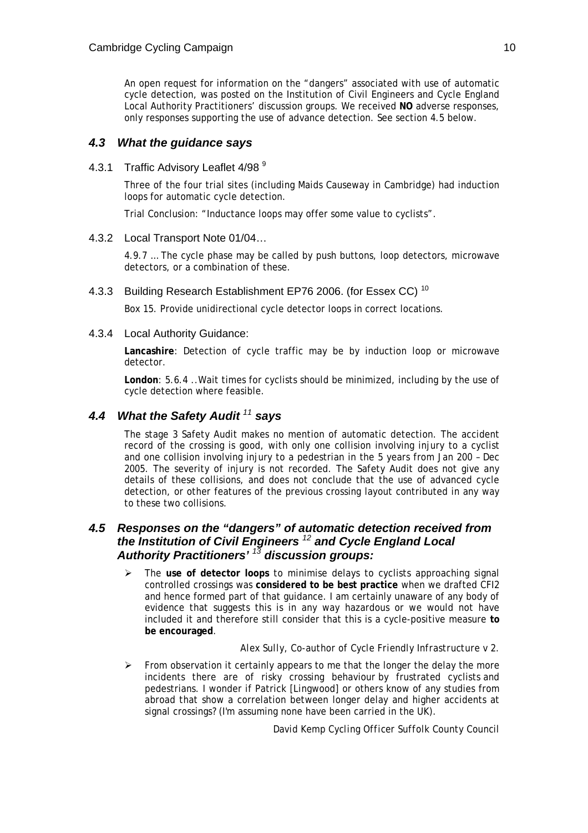An open request for information on the "dangers" associated with use of automatic cycle detection, was posted on the Institution of Civil Engineers and Cycle England Local Authority Practitioners' discussion groups. We received **NO** adverse responses, only responses supporting the use of advance detection. See section 4.5 below.

## *4.3 What the guidance says*

4.3.1 Traffic Advisory Leaflet 4/98<sup>9</sup>

Three of the four trial sites (including Maids Causeway in Cambridge) had induction loops for automatic cycle detection.

Trial Conclusion: "Inductance loops may offer some value to cyclists".

#### 4.3.2 Local Transport Note 01/04…

4.9.7 … The cycle phase may be called by push buttons, loop detectors, microwave detectors, or a combination of these.

4.3.3 Building Research Establishment EP76 2006. (for Essex CC)<sup>10</sup>

Box 15. Provide unidirectional cycle detector loops in correct locations.

4.3.4 Local Authority Guidance:

**Lancashire**: Detection of cycle traffic may be by induction loop or microwave detector.

**London**: 5.6.4 ..Wait times for cyclists should be minimized, including by the use of cycle detection where feasible.

## *4.4 What the Safety Audit <sup>11</sup> says*

The stage 3 Safety Audit makes no mention of automatic detection. The accident record of the crossing is good, with only one collision involving injury to a cyclist and one collision involving injury to a pedestrian in the 5 years from Jan 200 – Dec 2005. The severity of injury is not recorded. The Safety Audit does not give any details of these collisions, and does not conclude that the use of advanced cycle detection, or other features of the previous crossing layout contributed in any way to these two collisions.

## *4.5 Responses on the "dangers" of automatic detection received from the Institution of Civil Engineers <sup>12</sup> and Cycle England Local Authority Practitioners' <sup>13</sup> discussion groups:*

¾ The **use of detector loops** to minimise delays to cyclists approaching signal controlled crossings was **considered to be best practice** when we drafted CFI2 and hence formed part of that guidance. I am certainly unaware of any body of evidence that suggests this is in any way hazardous or we would not have included it and therefore still consider that this is a cycle-positive measure **to be encouraged**.

### *Alex Sully, Co-author of Cycle Friendly Infrastructure v 2.*

 $\triangleright$  From observation it certainly appears to me that the longer the delay the more incidents there are of risky crossing behaviour by frustrated cyclists and pedestrians. I wonder if Patrick *[Lingwood]* or others know of any studies from abroad that show a correlation between longer delay and higher accidents at signal crossings? (I'm assuming none have been carried in the UK).

*David Kemp Cycling Officer Suffolk County Council*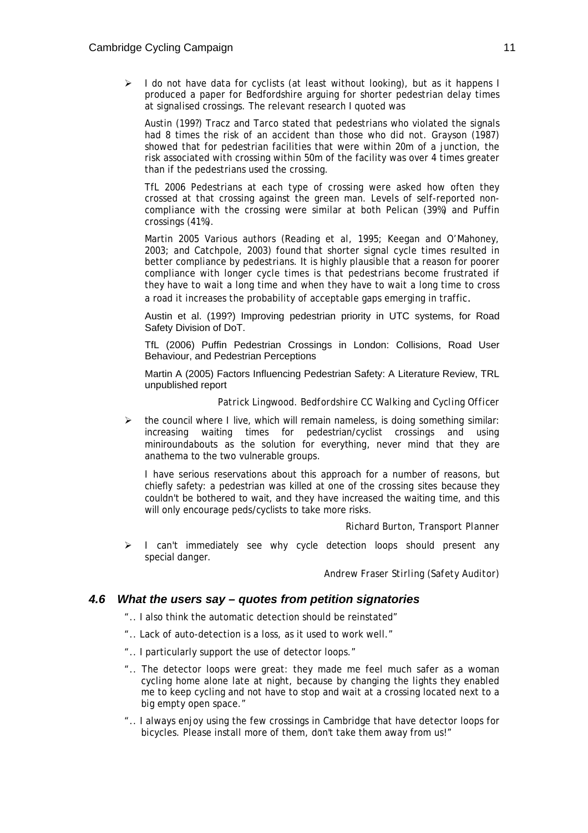I do not have data for cyclists (at least without looking), but as it happens I produced a paper for Bedfordshire arguing for shorter pedestrian delay times at signalised crossings. The relevant research I quoted was

Austin (199?) Tracz and Tarco stated that pedestrians who violated the signals had 8 times the risk of an accident than those who did not. Grayson (1987) showed that for pedestrian facilities that were within 20m of a junction, the risk associated with crossing within 50m of the facility was over 4 times greater than if the pedestrians used the crossing.

TfL 2006 Pedestrians at each type of crossing were asked how often they crossed at that crossing against the green man. Levels of self-reported noncompliance with the crossing were similar at both Pelican (39%) and Puffin crossings (41%).

Martin 2005 Various authors (Reading *et al*, 1995; Keegan and O'Mahoney, 2003; and Catchpole, 2003) found that shorter signal cycle times resulted in better compliance by pedestrians. It is highly plausible that a reason for poorer compliance with longer cycle times is that pedestrians become frustrated if they have to wait a long time and when they have to wait a long time to cross a road it increases the probability of acceptable gaps emerging in traffic.

Austin et al. (199?) Improving pedestrian priority in UTC systems, for Road Safety Division of DoT.

TfL (2006) Puffin Pedestrian Crossings in London: Collisions, Road User Behaviour, and Pedestrian Perceptions

Martin A (2005) Factors Influencing Pedestrian Safety: A Literature Review, TRL unpublished report

#### *Patrick Lingwood. Bedfordshire CC Walking and Cycling Officer*

 $\triangleright$  the council where I live, which will remain nameless, is doing something similar: increasing waiting times for pedestrian/cyclist crossings and using miniroundabouts as the solution for everything, never mind that they are anathema to the two vulnerable groups.

I have serious reservations about this approach for a number of reasons, but chiefly safety: a pedestrian was killed at one of the crossing sites because they couldn't be bothered to wait, and they have increased the waiting time, and this will only encourage peds/cyclists to take more risks.

#### *Richard Burton, Transport Planner*

¾ I can't immediately see why cycle detection loops should present any special danger.

*Andrew Fraser Stirling (Safety Auditor)* 

#### *4.6 What the users say – quotes from petition signatories*

- ".. I also think the automatic detection should be reinstated"
- ".. Lack of auto-detection is a loss, as it used to work well."
- ".. I particularly support the use of detector loops."
- ".. The detector loops were great: they made me feel much safer as a woman cycling home alone late at night, because by changing the lights they enabled me to keep cycling and not have to stop and wait at a crossing located next to a big empty open space."
- ".. I always enjoy using the few crossings in Cambridge that have detector loops for bicycles. Please install more of them, don't take them away from us!"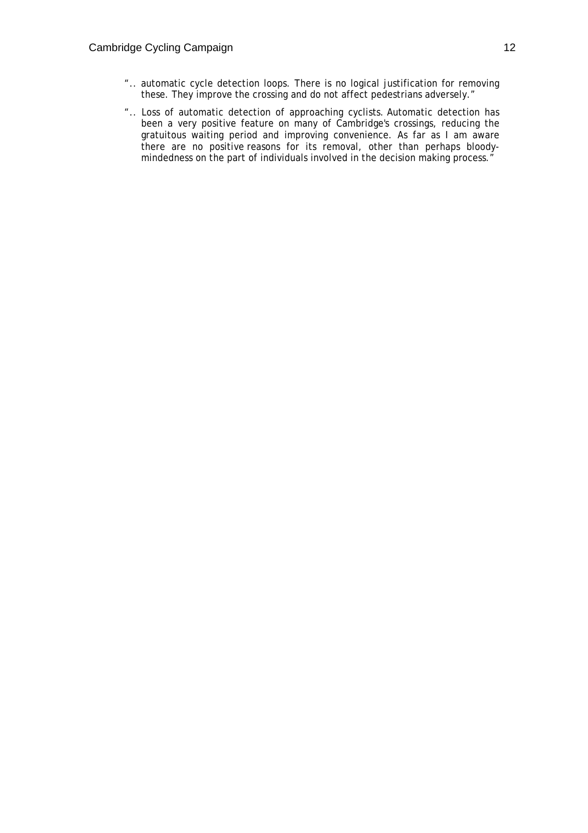- ".. automatic cycle detection loops. There is no logical justification for removing these. They improve the crossing and do not affect pedestrians adversely."
- ".. Loss of automatic detection of approaching cyclists. Automatic detection has been a very positive feature on many of Cambridge's crossings, reducing the gratuitous waiting period and improving convenience. As far as I am aware there are no positive reasons for its removal, other than perhaps bloodymindedness on the part of individuals involved in the decision making process."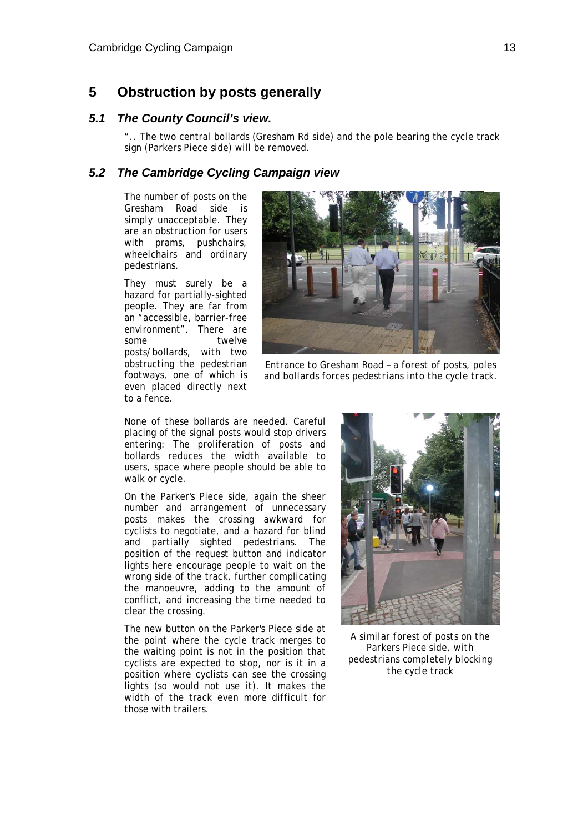## **5 Obstruction by posts generally**

#### *5.1 The County Council's view.*

".. The two central bollards (Gresham Rd side) and the pole bearing the cycle track sign (Parkers Piece side) will be removed.

#### *5.2 The Cambridge Cycling Campaign view*

The number of posts on the Gresham Road side is simply unacceptable. They are an obstruction for users with prams, pushchairs, wheelchairs and ordinary pedestrians.

They must surely be a hazard for partially-sighted people. They are far from an "accessible, barrier-free environment". There are some twelve posts/bollards, with two obstructing the pedestrian footways, one of which is even placed directly next to a fence.



*Entrance to Gresham Road – a forest of posts, poles and bollards forces pedestrians into the cycle track.* 

None of these bollards are needed. Careful placing of the signal posts would stop drivers entering: The proliferation of posts and bollards reduces the width available to users, space where people should be able to walk or cycle.

On the Parker's Piece side, again the sheer number and arrangement of unnecessary posts makes the crossing awkward for cyclists to negotiate, and a hazard for blind and partially sighted pedestrians. The position of the request button and indicator lights here encourage people to wait on the wrong side of the track, further complicating the manoeuvre, adding to the amount of conflict, and increasing the time needed to clear the crossing.

The new button on the Parker's Piece side at the point where the cycle track merges to the waiting point is not in the position that cyclists are expected to stop, nor is it in a position where cyclists can see the crossing lights (so would not use it). It makes the width of the track even more difficult for those with trailers.



*A similar forest of posts on the Parkers Piece side, with pedestrians completely blocking the cycle track*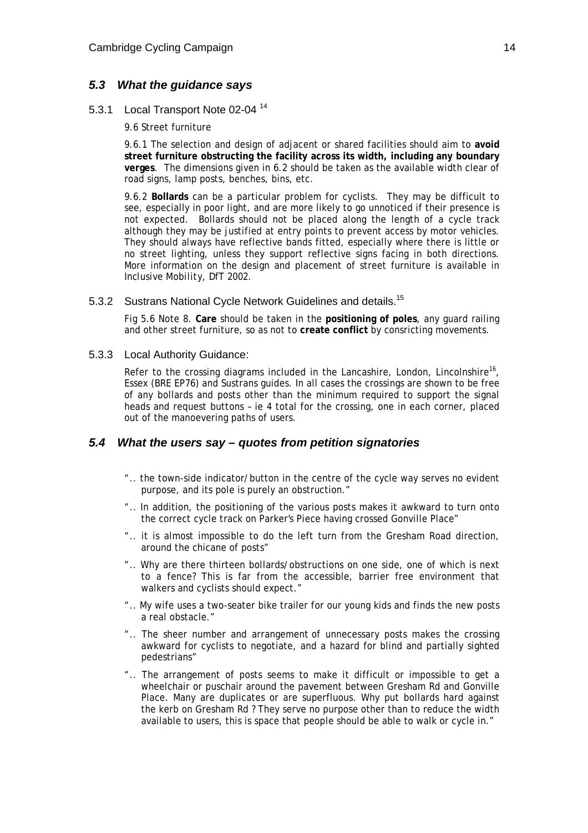#### *5.3 What the guidance says*

#### 5.3.1 Local Transport Note 02-04 <sup>14</sup>

9.6 Street furniture

9.6.1 The selection and design of adjacent or shared facilities should aim to **avoid street furniture obstructing the facility across its width, including any boundary verges**. The dimensions given in 6.2 should be taken as the available width clear of road signs, lamp posts, benches, bins, etc.

9.6.2 **Bollards** can be a particular problem for cyclists. They may be difficult to see, especially in poor light, and are more likely to go unnoticed if their presence is not expected. Bollards should not be placed along the length of a cycle track although they may be justified at entry points to prevent access by motor vehicles. They should always have reflective bands fitted, especially where there is little or no street lighting, unless they support reflective signs facing in both directions. More information on the design and placement of street furniture is available in *Inclusive Mobility*, DfT 2002.

#### 5.3.2 Sustrans National Cycle Network Guidelines and details.<sup>15</sup>

Fig 5.6 Note 8. **Care** should be taken in the **positioning of poles**, any guard railing and other street furniture, so as not to **create conflict** by consricting movements.

#### 5.3.3 Local Authority Guidance:

Refer to the crossing diagrams included in the Lancashire, London, Lincolnshire<sup>16</sup>, Essex (BRE EP76) and Sustrans guides. In all cases the crossings are shown to be free of any bollards and posts other than the minimum required to support the signal heads and request buttons – ie 4 total for the crossing, one in each corner, placed out of the manoevering paths of users.

#### *5.4 What the users say – quotes from petition signatories*

- ".. the town-side indicator/button in the centre of the cycle way serves no evident purpose, and its pole is purely an obstruction."
- ".. In addition, the positioning of the various posts makes it awkward to turn onto the correct cycle track on Parker's Piece having crossed Gonville Place"
- ".. it is almost impossible to do the left turn from the Gresham Road direction, around the chicane of posts"
- ".. Why are there thirteen bollards/obstructions on one side, one of which is next to a fence? This is far from the accessible, barrier free environment that walkers and cyclists should expect."
- ".. My wife uses a two-seater bike trailer for our young kids and finds the new posts a real obstacle."
- ".. The sheer number and arrangement of unnecessary posts makes the crossing awkward for cyclists to negotiate, and a hazard for blind and partially sighted pedestrians"
- ".. The arrangement of posts seems to make it difficult or impossible to get a wheelchair or puschair around the pavement between Gresham Rd and Gonville Place. Many are duplicates or are superfluous. Why put bollards hard against the kerb on Gresham Rd ? They serve no purpose other than to reduce the width available to users, this is space that people should be able to walk or cycle in."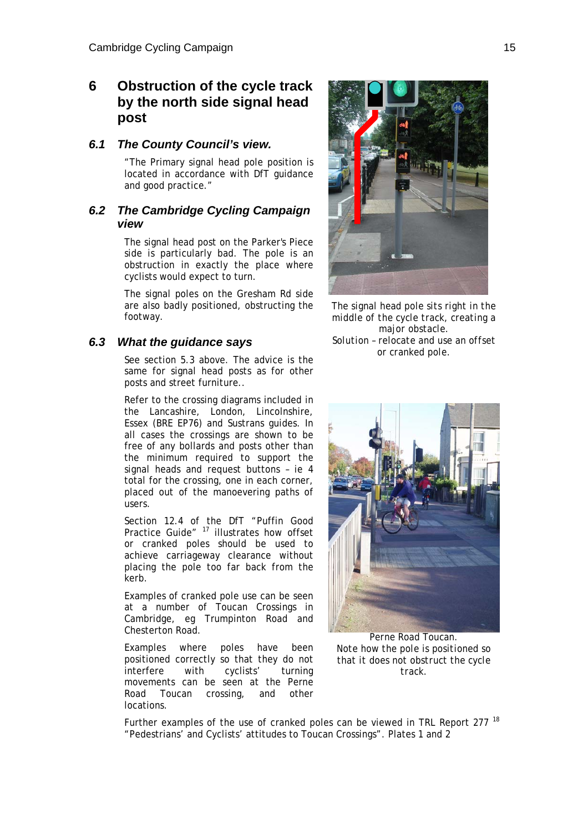## **6 Obstruction of the cycle track by the north side signal head post**

#### *6.1 The County Council's view.*

"The Primary signal head pole position is located in accordance with DfT guidance and good practice."

## *6.2 The Cambridge Cycling Campaign view*

The signal head post on the Parker's Piece side is particularly bad. The pole is an obstruction in exactly the place where cyclists would expect to turn.

The signal poles on the Gresham Rd side are also badly positioned, obstructing the footway.

### *6.3 What the guidance says*

See section 5.3 above. The advice is the same for signal head posts as for other posts and street furniture..

Refer to the crossing diagrams included in the Lancashire, London, Lincolnshire, Essex (BRE EP76) and Sustrans guides. In all cases the crossings are shown to be free of any bollards and posts other than the minimum required to support the signal heads and request buttons – ie 4 total for the crossing, one in each corner, placed out of the manoevering paths of users.

Section 12.4 of the DfT "Puffin Good Practice Guide"<sup>17</sup> illustrates how offset or cranked poles should be used to achieve carriageway clearance without placing the pole too far back from the kerb.

Examples of cranked pole use can be seen at a number of Toucan Crossings in Cambridge, eg Trumpinton Road and Chesterton Road.

Examples where poles have been positioned correctly so that they do not interfere with cyclists' turning movements can be seen at the Perne Road Toucan crossing, and other locations.



*The signal head pole sits right in the middle of the cycle track, creating a major obstacle. Solution – relocate and use an offset or cranked pole.* 



*Perne Road Toucan. Note how the pole is positioned so that it does not obstruct the cycle track.* 

Further examples of the use of cranked poles can be viewed in TRL Report 277<sup>18</sup> "Pedestrians' and Cyclists' attitudes to Toucan Crossings". Plates 1 and 2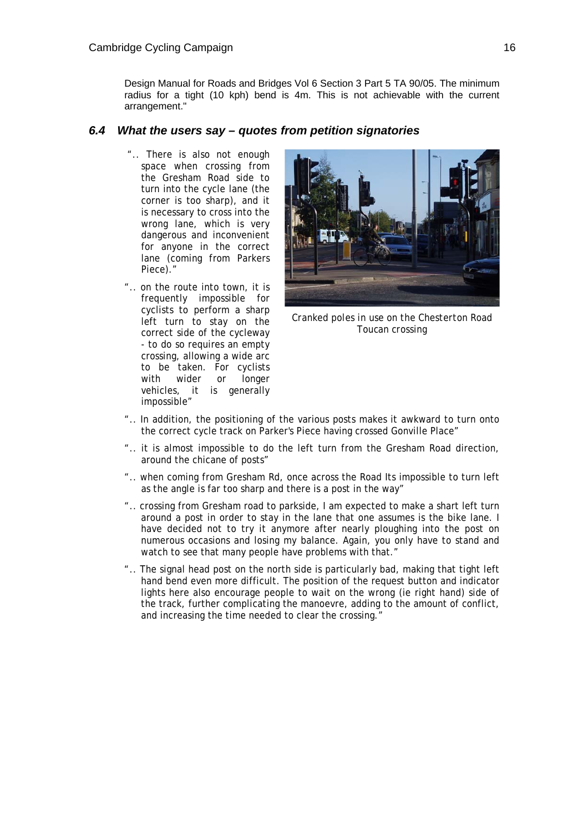Design Manual for Roads and Bridges Vol 6 Section 3 Part 5 TA 90/05. The minimum radius for a tight (10 kph) bend is 4m. This is not achievable with the current arrangement."

#### *6.4 What the users say – quotes from petition signatories*

- ".. There is also not enough space when crossing from the Gresham Road side to turn into the cycle lane (the corner is too sharp), and it is necessary to cross into the wrong lane, which is very dangerous and inconvenient for anyone in the correct lane (coming from Parkers Piece)."
- ".. on the route into town, it is frequently impossible for cyclists to perform a sharp left turn to stay on the correct side of the cycleway - to do so requires an empty crossing, allowing a wide arc to be taken. For cyclists with wider or longer vehicles, it is generally impossible"



*Cranked poles in use on the Chesterton Road Toucan crossing* 

- ".. In addition, the positioning of the various posts makes it awkward to turn onto the correct cycle track on Parker's Piece having crossed Gonville Place"
- ".. it is almost impossible to do the left turn from the Gresham Road direction, around the chicane of posts"
- ".. when coming from Gresham Rd, once across the Road Its impossible to turn left as the angle is far too sharp and there is a post in the way"
- ".. crossing from Gresham road to parkside, I am expected to make a shart left turn around a post in order to stay in the lane that one assumes is the bike lane. I have decided not to try it anymore after nearly ploughing into the post on numerous occasions and losing my balance. Again, you only have to stand and watch to see that many people have problems with that."
- ".. The signal head post on the north side is particularly bad, making that tight left hand bend even more difficult. The position of the request button and indicator lights here also encourage people to wait on the wrong (ie right hand) side of the track, further complicating the manoevre, adding to the amount of conflict, and increasing the time needed to clear the crossing."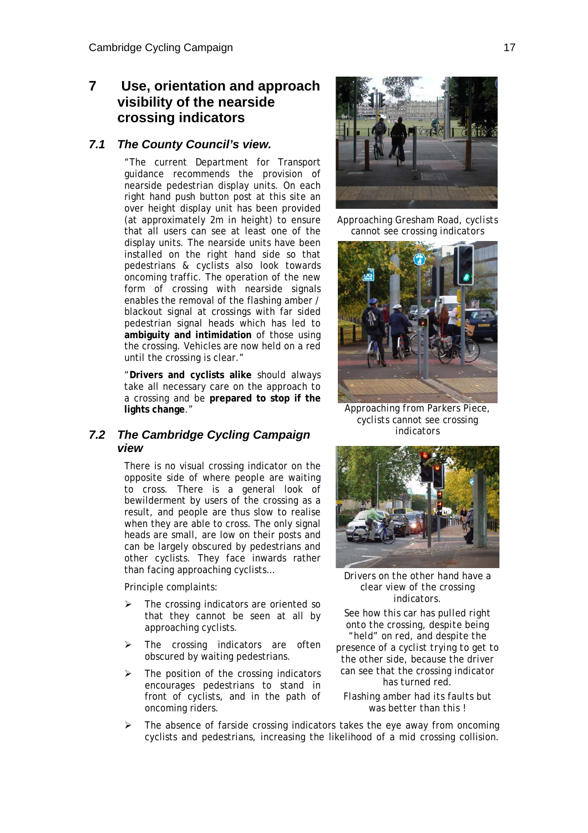## **7 Use, orientation and approach visibility of the nearside crossing indicators**

#### *7.1 The County Council's view.*

"The current Department for Transport guidance recommends the provision of nearside pedestrian display units. On each right hand push button post at this site an over height display unit has been provided (at approximately 2m in height) to ensure that all users can see at least one of the display units. The nearside units have been installed on the right hand side so that pedestrians & cyclists also look towards oncoming traffic. The operation of the new form of crossing with nearside signals enables the removal of the flashing amber / blackout signal at crossings with far sided pedestrian signal heads which has led to **ambiguity and intimidation** of those using the crossing. Vehicles are now held on a red until the crossing is clear."

"**Drivers and cyclists alike** should always take all necessary care on the approach to a crossing and be **prepared to stop if the lights change**."

### *7.2 The Cambridge Cycling Campaign view*

There is no visual crossing indicator on the opposite side of where people are waiting to cross. There is a general look of bewilderment by users of the crossing as a result, and people are thus slow to realise when they are able to cross. The only signal heads are small, are low on their posts and can be largely obscured by pedestrians and other cyclists. They face inwards rather than facing approaching cyclists…

Principle complaints:

- The crossing indicators are oriented so that they cannot be seen at all by approaching cyclists.
- $\triangleright$  The crossing indicators are often obscured by waiting pedestrians.
- The position of the crossing indicators encourages pedestrians to stand in front of cyclists, and in the path of oncoming riders.



*Approaching Gresham Road, cyclists cannot see crossing indicators* 



*Approaching from Parkers Piece, cyclists cannot see crossing indicators* 



*Drivers on the other hand have a clear view of the crossing indicators.* 

*See how this car has pulled right onto the crossing, despite being "held" on red, and despite the presence of a cyclist trying to get to the other side, because the driver can see that the crossing indicator has turned red.* 

*Flashing amber had its faults but was better than this !* 

The absence of farside crossing indicators takes the eye away from oncoming cyclists and pedestrians, increasing the likelihood of a mid crossing collision.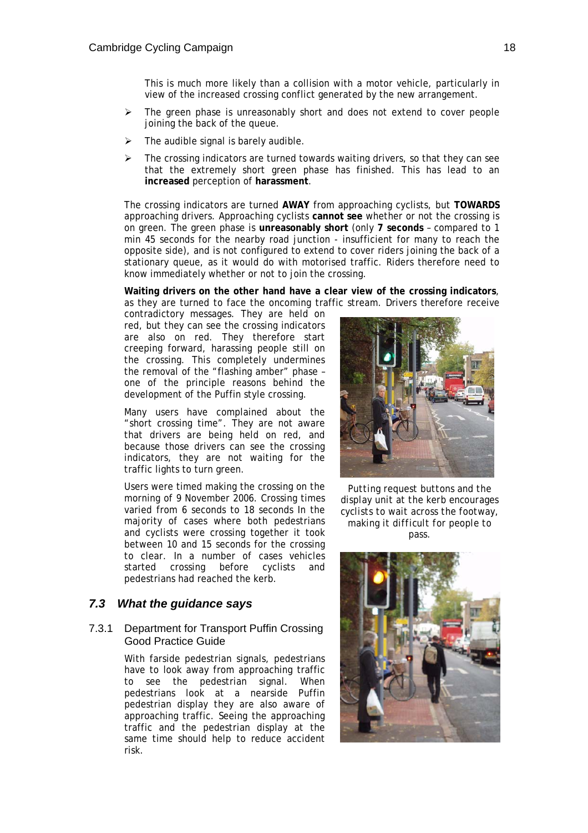This is much more likely than a collision with a motor vehicle, particularly in view of the increased crossing conflict generated by the new arrangement.

- The green phase is unreasonably short and does not extend to cover people joining the back of the queue.
- The audible signal is barely audible.
- The crossing indicators are turned towards waiting drivers, so that they can see that the extremely short green phase has finished. This has lead to an **increased** perception of **harassment**.

The crossing indicators are turned **AWAY** from approaching cyclists, but **TOWARDS** approaching drivers. Approaching cyclists **cannot see** whether or not the crossing is on green. The green phase is **unreasonably short** (only **7 seconds** – compared to 1 min 45 seconds for the nearby road junction - insufficient for many to reach the opposite side), and is not configured to extend to cover riders joining the back of a stationary queue, as it would do with motorised traffic. Riders therefore need to know immediately whether or not to join the crossing.

**Waiting drivers on the other hand have a clear view of the crossing indicators**, as they are turned to face the oncoming traffic stream. Drivers therefore receive

contradictory messages. They are held on red, but they can see the crossing indicators are also on red. They therefore start creeping forward, harassing people still on the crossing. This completely undermines the removal of the "flashing amber" phase – one of the principle reasons behind the development of the Puffin style crossing.

Many users have complained about the "short crossing time". They are not aware that drivers are being held on red, and because those drivers can see the crossing indicators, they are not waiting for the traffic lights to turn green.

Users were timed making the crossing on the morning of 9 November 2006. Crossing times varied from 6 seconds to 18 seconds In the majority of cases where both pedestrians and cyclists were crossing together it took between 10 and 15 seconds for the crossing to clear. In a number of cases vehicles started crossing before cyclists and pedestrians had reached the kerb.

### *7.3 What the guidance says*

#### 7.3.1 Department for Transport Puffin Crossing Good Practice Guide

With farside pedestrian signals, pedestrians have to look away from approaching traffic to see the pedestrian signal. When pedestrians look at a nearside Puffin pedestrian display they are also aware of approaching traffic. Seeing the approaching traffic and the pedestrian display at the same time should help to reduce accident risk.



*Putting request buttons and the display unit at the kerb encourages cyclists to wait across the footway, making it difficult for people to pass.* 

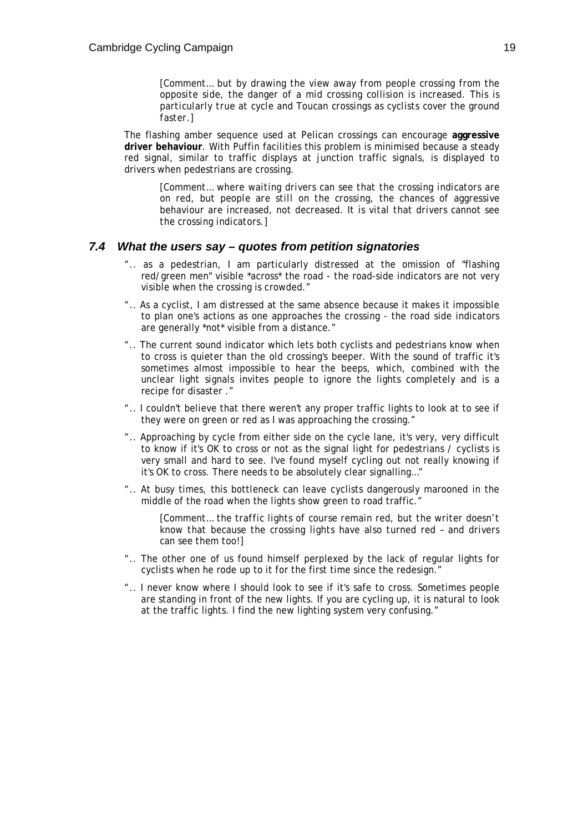*[Comment… but by drawing the view away from people crossing from the opposite side, the danger of a mid crossing collision is increased. This is particularly true at cycle and Toucan crossings as cyclists cover the ground faster.]* 

The flashing amber sequence used at Pelican crossings can encourage **aggressive driver behaviour**. With Puffin facilities this problem is minimised because a steady red signal, similar to traffic displays at junction traffic signals, is displayed to drivers when pedestrians are crossing.

*[Comment… where waiting drivers can see that the crossing indicators are on red, but people are still on the crossing, the chances of aggressive behaviour are increased, not decreased. It is vital that drivers cannot see the crossing indicators.]* 

#### *7.4 What the users say – quotes from petition signatories*

- ".. as a pedestrian, I am particularly distressed at the omission of "flashing red/green men" visible \*across\* the road - the road-side indicators are not very visible when the crossing is crowded."
- ".. As a cyclist, I am distressed at the same absence because it makes it impossible to plan one's actions as one approaches the crossing - the road side indicators are generally \*not\* visible from a distance."
- ".. The current sound indicator which lets both cyclists and pedestrians know when to cross is quieter than the old crossing's beeper. With the sound of traffic it's sometimes almost impossible to hear the beeps, which, combined with the unclear light signals invites people to ignore the lights completely and is a recipe for disaster ."
- ".. I couldn't believe that there weren't any proper traffic lights to look at to see if they were on green or red as I was approaching the crossing."
- ".. Approaching by cycle from either side on the cycle lane, it's very, very difficult to know if it's OK to cross or not as the signal light for pedestrians / cyclists is very small and hard to see. I've found myself cycling out not really knowing if it's OK to cross. There needs to be absolutely clear signalling…"
- ".. At busy times, this bottleneck can leave cyclists dangerously marooned in the middle of the road when the lights show green to road traffic."

*[Comment… the traffic lights of course remain red, but the writer doesn't know that because the crossing lights have also turned red – and drivers can see them too!]* 

- ".. The other one of us found himself perplexed by the lack of regular lights for cyclists when he rode up to it for the first time since the redesign."
- ".. I never know where I should look to see if it's safe to cross. Sometimes people are standing in front of the new lights. If you are cycling up, it is natural to look at the traffic lights. I find the new lighting system very confusing."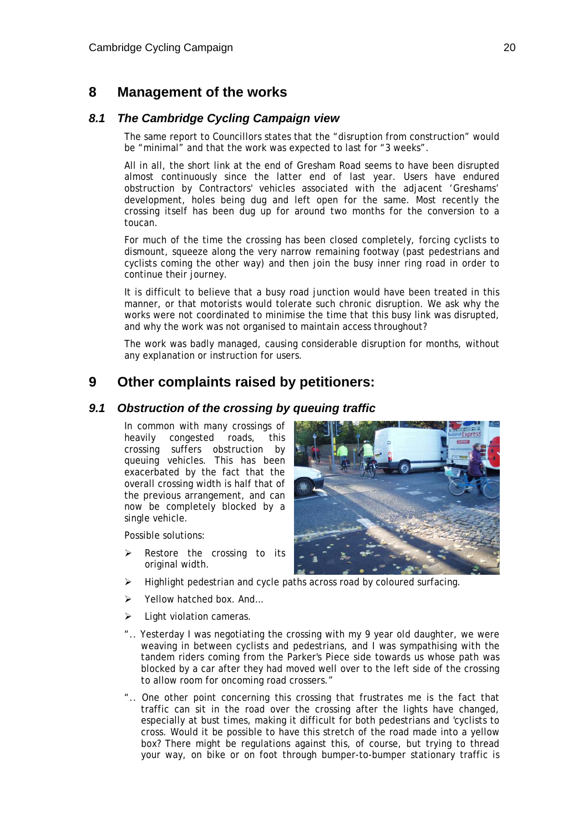## **8 Management of the works**

### *8.1 The Cambridge Cycling Campaign view*

The same report to Councillors states that the "disruption from construction" would be "minimal" and that the work was expected to last for "3 weeks".

All in all, the short link at the end of Gresham Road seems to have been disrupted almost continuously since the latter end of last year. Users have endured obstruction by Contractors' vehicles associated with the adjacent 'Greshams' development, holes being dug and left open for the same. Most recently the crossing itself has been dug up for around two months for the conversion to a toucan.

For much of the time the crossing has been closed completely, forcing cyclists to dismount, squeeze along the very narrow remaining footway (past pedestrians and cyclists coming the other way) and then join the busy inner ring road in order to continue their journey.

It is difficult to believe that a busy road junction would have been treated in this manner, or that motorists would tolerate such chronic disruption. We ask why the works were not coordinated to minimise the time that this busy link was disrupted, and why the work was not organised to maintain access throughout?

The work was badly managed, causing considerable disruption for months, without any explanation or instruction for users.

## **9 Other complaints raised by petitioners:**

#### *9.1 Obstruction of the crossing by queuing traffic*

In common with many crossings of heavily congested roads, this crossing suffers obstruction by queuing vehicles. This has been exacerbated by the fact that the overall crossing width is half that of the previous arrangement, and can now be completely blocked by a single vehicle.

Possible solutions:

- Restore the crossing to its original width.
- Highlight pedestrian and cycle paths across road by coloured surfacing.
- ¾ Yellow hatched box. And…
- $\triangleright$  Light violation cameras.
- ".. Yesterday I was negotiating the crossing with my 9 year old daughter, we were weaving in between cyclists and pedestrians, and I was sympathising with the tandem riders coming from the Parker's Piece side towards us whose path was blocked by a car after they had moved well over to the left side of the crossing to allow room for oncoming road crossers."
- ".. One other point concerning this crossing that frustrates me is the fact that traffic can sit in the road over the crossing after the lights have changed, especially at bust times, making it difficult for both pedestrians and 'cyclists to cross. Would it be possible to have this stretch of the road made into a yellow box? There might be regulations against this, of course, but trying to thread your way, on bike or on foot through bumper-to-bumper stationary traffic is

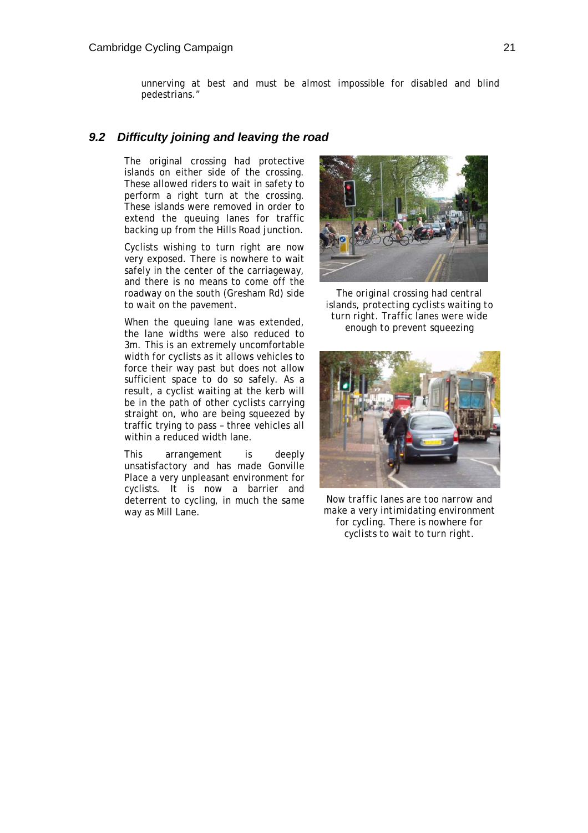unnerving at best and must be almost impossible for disabled and blind pedestrians."

#### *9.2 Difficulty joining and leaving the road*

The original crossing had protective islands on either side of the crossing. These allowed riders to wait in safety to perform a right turn at the crossing. These islands were removed in order to extend the queuing lanes for traffic backing up from the Hills Road junction.

Cyclists wishing to turn right are now very exposed. There is nowhere to wait safely in the center of the carriageway, and there is no means to come off the roadway on the south (Gresham Rd) side to wait on the pavement.

When the queuing lane was extended, the lane widths were also reduced to 3m. This is an extremely uncomfortable width for cyclists as it allows vehicles to force their way past but does not allow sufficient space to do so safely. As a result, a cyclist waiting at the kerb will be in the path of other cyclists carrying straight on, who are being squeezed by traffic trying to pass – three vehicles all within a reduced width lane.

This arrangement is deeply unsatisfactory and has made Gonville Place a very unpleasant environment for cyclists. It is now a barrier and deterrent to cycling, in much the same way as Mill Lane.



*The original crossing had central islands, protecting cyclists waiting to turn right. Traffic lanes were wide enough to prevent squeezing* 



*Now traffic lanes are too narrow and make a very intimidating environment for cycling. There is nowhere for cyclists to wait to turn right.*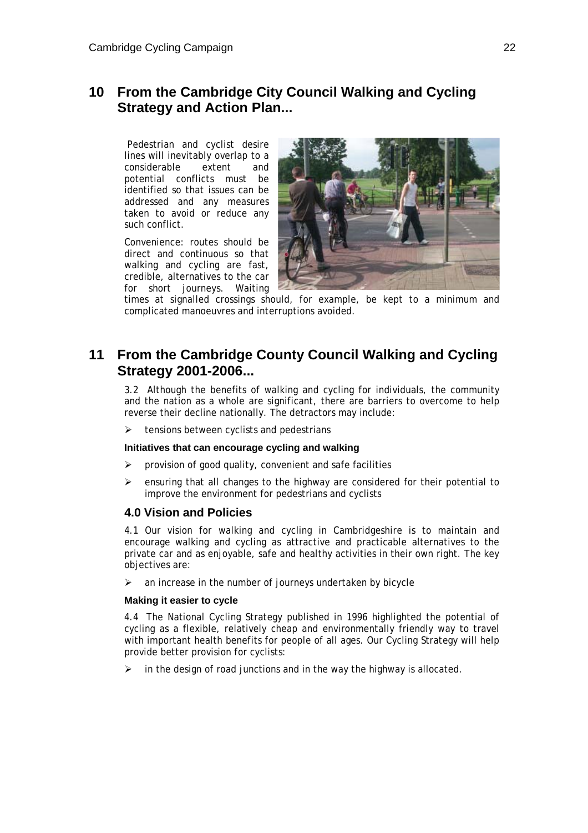## **10 From the Cambridge City Council Walking and Cycling Strategy and Action Plan...**

 Pedestrian and cyclist desire lines will inevitably overlap to a considerable extent and potential conflicts must be identified so that issues can be addressed and any measures taken to avoid or reduce any such conflict.

Convenience: routes should be direct and continuous so that walking and cycling are fast, credible, alternatives to the car for short journeys. Waiting



times at signalled crossings should, for example, be kept to a minimum and complicated manoeuvres and interruptions avoided.

## **11 From the Cambridge County Council Walking and Cycling Strategy 2001-2006...**

3.2 Although the benefits of walking and cycling for individuals, the community and the nation as a whole are significant, there are barriers to overcome to help reverse their decline nationally. The detractors may include:

 $\triangleright$  tensions between cyclists and pedestrians

#### **Initiatives that can encourage cycling and walking**

- $\triangleright$  provision of good quality, convenient and safe facilities
- $\triangleright$  ensuring that all changes to the highway are considered for their potential to improve the environment for pedestrians and cyclists

### **4.0 Vision and Policies**

4.1 Our vision for walking and cycling in Cambridgeshire is to maintain and encourage walking and cycling as attractive and practicable alternatives to the private car and as enjoyable, safe and healthy activities in their own right. The key objectives are:

 $\geq$  an increase in the number of journeys undertaken by bicycle

#### **Making it easier to cycle**

4.4 The National Cycling Strategy published in 1996 highlighted the potential of cycling as a flexible, relatively cheap and environmentally friendly way to travel with important health benefits for people of all ages. Our Cycling Strategy will help provide better provision for cyclists:

in the design of road junctions and in the way the highway is allocated.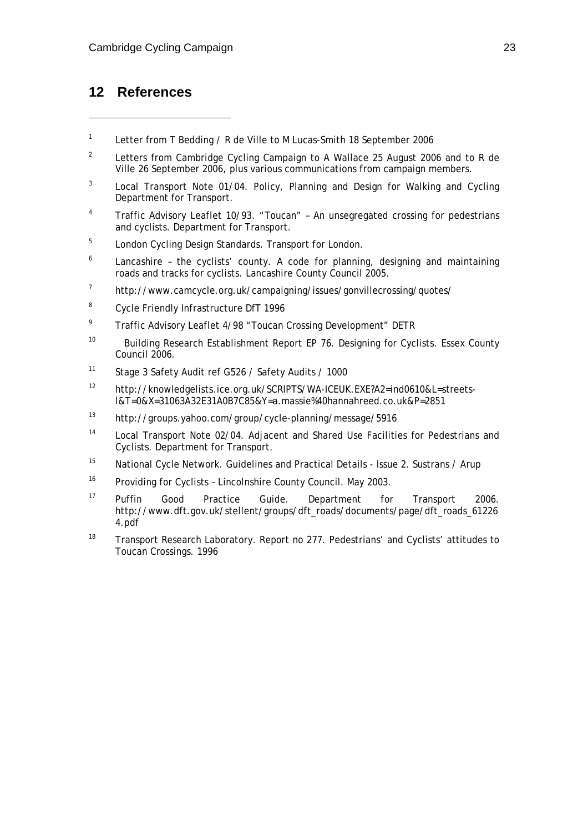## **12 References**

 $\overline{a}$ 

- 1 Letter from T Bedding / R de Ville to M Lucas-Smith 18 September 2006
- 2 Letters from Cambridge Cycling Campaign to A Wallace 25 August 2006 and to R de Ville 26 September 2006, plus various communications from campaign members.
- 3 Local Transport Note 01/04. Policy, Planning and Design for Walking and Cycling Department for Transport.
- 4 Traffic Advisory Leaflet 10/93. "Toucan" – An unsegregated crossing for pedestrians and cyclists. Department for Transport.
- 5 London Cycling Design Standards. Transport for London.
- $6$  Lancashire the cyclists' county. A code for planning, designing and maintaining roads and tracks for cyclists. Lancashire County Council 2005.
- 7 http://www.camcycle.org.uk/campaigning/issues/gonvillecrossing/quotes/
- 8 Cycle Friendly Infrastructure DfT 1996
- 9 Traffic Advisory Leaflet 4/98 "Toucan Crossing Development" DETR
- <sup>10</sup> Building Research Establishment Report EP 76. Designing for Cyclists. Essex County Council 2006.
- 11 Stage 3 Safety Audit ref G526 / Safety Audits / 1000
- 12 http://knowledgelists.ice.org.uk/SCRIPTS/WA-ICEUK.EXE?A2=ind0610&L=streetsl&T=0&X=31063A32E31A0B7C85&Y=a.massie%40hannahreed.co.uk&P=2851
- 13 http://groups.yahoo.com/group/cycle-planning/message/5916
- 14 Local Transport Note 02/04. Adjacent and Shared Use Facilities for Pedestrians and Cyclists. Department for Transport.
- 15 National Cycle Network. Guidelines and Practical Details Issue 2. Sustrans / Arup
- <sup>16</sup> Providing for Cyclists Lincolnshire County Council. May 2003.
- <sup>17</sup> Puffin Good Practice Guide. Department for Transport 2006. http://www.dft.gov.uk/stellent/groups/dft\_roads/documents/page/dft\_roads\_61226 4.pdf
- <sup>18</sup> Transport Research Laboratory. Report no 277. Pedestrians' and Cyclists' attitudes to Toucan Crossings. 1996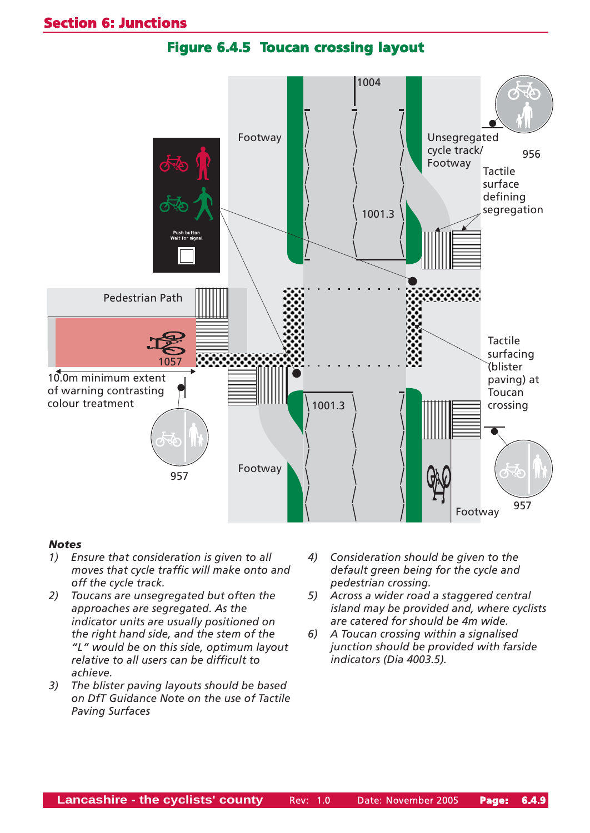



#### **Notes**

- 1) Ensure that consideration is given to all moves that cycle traffic will make onto and off the cycle track.
- 2) Toucans are unsegregated but often the approaches are segregated. As the indicator units are usually positioned on the right hand side, and the stem of the ìLî would be on this side, optimum layout relative to all users can be difficult to achieve.
- 3) The blister paving layouts should be based on DfT Guidance Note on the use of Tactile Paving Surfaces
- 4) Consideration should be given to the default green being for the cycle and pedestrian crossing.
- 5) Across a wider road a staggered central island may be provided and, where cyclists are catered for should be 4m wide.
- 6) A Toucan crossing within a signalised junction should be provided with farside indicators (Dia 4003.5).